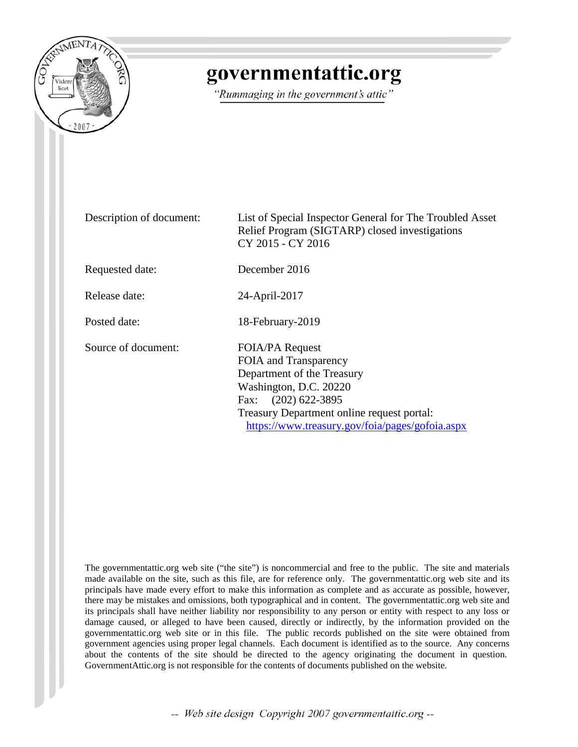

## governmentattic.org

"Rummaging in the government's attic"

Description of document: List of Special Inspector General for The Troubled Asset Relief Program (SIGTARP) closed investigations CY 2015 - CY 2016 Requested date: December 2016 Release date: 24-April-2017 Posted date: 18-February-2019 Source of document: FOIA/PA Request FOIA and Transparency Department of the Treasury Washington, D.C. 20220 Fax: (202) 622-3895 Treasury Department online request portal: <https://www.treasury.gov/foia/pages/gofoia.aspx>

The governmentattic.org web site ("the site") is noncommercial and free to the public. The site and materials made available on the site, such as this file, are for reference only. The governmentattic.org web site and its principals have made every effort to make this information as complete and as accurate as possible, however, there may be mistakes and omissions, both typographical and in content. The governmentattic.org web site and its principals shall have neither liability nor responsibility to any person or entity with respect to any loss or damage caused, or alleged to have been caused, directly or indirectly, by the information provided on the governmentattic.org web site or in this file. The public records published on the site were obtained from government agencies using proper legal channels. Each document is identified as to the source. Any concerns about the contents of the site should be directed to the agency originating the document in question. GovernmentAttic.org is not responsible for the contents of documents published on the website.

-- Web site design Copyright 2007 governmentattic.org --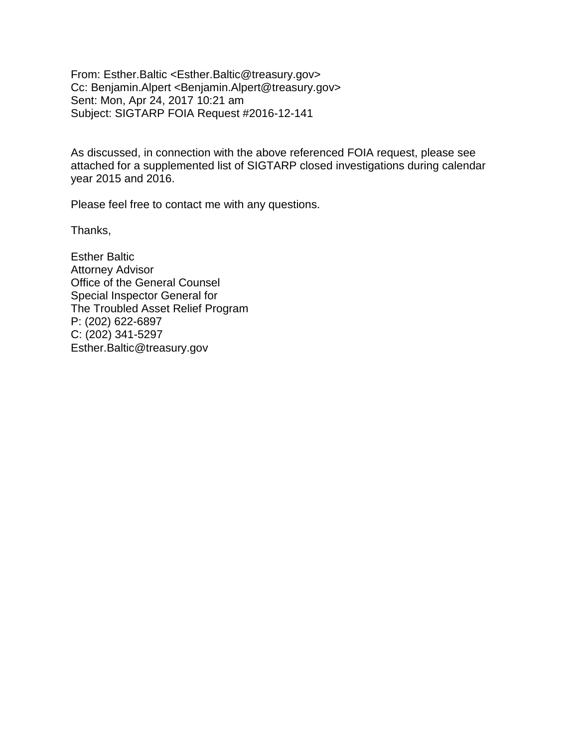From: Esther.Baltic <Esther.Baltic@treasury.gov> Cc: Benjamin.Alpert <Benjamin.Alpert@treasury.gov> Sent: Mon, Apr 24, 2017 10:21 am Subject: SIGTARP FOIA Request #2016-12-141

As discussed, in connection with the above referenced FOIA request, please see attached for a supplemented list of SIGTARP closed investigations during calendar year 2015 and 2016.

Please feel free to contact me with any questions.

Thanks,

Esther Baltic Attorney Advisor Office of the General Counsel Special Inspector General for The Troubled Asset Relief Program P: (202) 622-6897 C: (202) 341-5297 Esther.Baltic@treasury.gov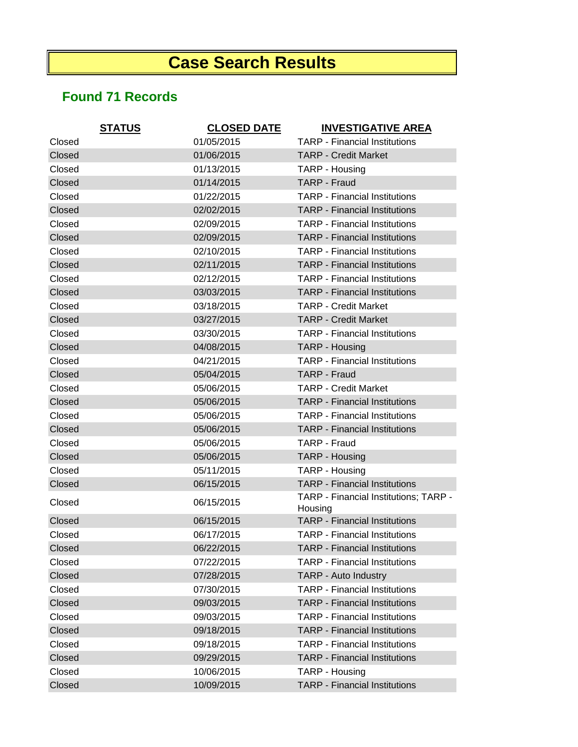## **Case Search Results**

## **Found 71 Records**

| <b>STATUS</b> | <b>CLOSED DATE</b> | <b>INVESTIGATIVE AREA</b>                        |
|---------------|--------------------|--------------------------------------------------|
| Closed        | 01/05/2015         | <b>TARP - Financial Institutions</b>             |
| Closed        | 01/06/2015         | <b>TARP - Credit Market</b>                      |
| Closed        | 01/13/2015         | TARP - Housing                                   |
| Closed        | 01/14/2015         | <b>TARP - Fraud</b>                              |
| Closed        | 01/22/2015         | <b>TARP - Financial Institutions</b>             |
| Closed        | 02/02/2015         | <b>TARP - Financial Institutions</b>             |
| Closed        | 02/09/2015         | <b>TARP</b> - Financial Institutions             |
| Closed        | 02/09/2015         | <b>TARP - Financial Institutions</b>             |
| Closed        | 02/10/2015         | <b>TARP - Financial Institutions</b>             |
| Closed        | 02/11/2015         | <b>TARP - Financial Institutions</b>             |
| Closed        | 02/12/2015         | <b>TARP - Financial Institutions</b>             |
| Closed        | 03/03/2015         | <b>TARP</b> - Financial Institutions             |
| Closed        | 03/18/2015         | <b>TARP - Credit Market</b>                      |
| Closed        | 03/27/2015         | <b>TARP - Credit Market</b>                      |
| Closed        | 03/30/2015         | <b>TARP - Financial Institutions</b>             |
| Closed        | 04/08/2015         | TARP - Housing                                   |
| Closed        | 04/21/2015         | <b>TARP - Financial Institutions</b>             |
| Closed        | 05/04/2015         | <b>TARP - Fraud</b>                              |
| Closed        | 05/06/2015         | <b>TARP - Credit Market</b>                      |
| Closed        | 05/06/2015         | <b>TARP - Financial Institutions</b>             |
| Closed        | 05/06/2015         | <b>TARP - Financial Institutions</b>             |
| Closed        | 05/06/2015         | <b>TARP - Financial Institutions</b>             |
| Closed        | 05/06/2015         | <b>TARP - Fraud</b>                              |
| Closed        | 05/06/2015         | TARP - Housing                                   |
| Closed        | 05/11/2015         | TARP - Housing                                   |
| Closed        | 06/15/2015         | <b>TARP - Financial Institutions</b>             |
| Closed        | 06/15/2015         | TARP - Financial Institutions; TARP -<br>Housing |
| Closed        | 06/15/2015         | <b>TARP - Financial Institutions</b>             |
| Closed        | 06/17/2015         | <b>TARP - Financial Institutions</b>             |
| Closed        | 06/22/2015         | <b>TARP - Financial Institutions</b>             |
| Closed        | 07/22/2015         | <b>TARP - Financial Institutions</b>             |
| Closed        | 07/28/2015         | TARP - Auto Industry                             |
| Closed        | 07/30/2015         | <b>TARP - Financial Institutions</b>             |
| Closed        | 09/03/2015         | <b>TARP - Financial Institutions</b>             |
| Closed        | 09/03/2015         | <b>TARP - Financial Institutions</b>             |
| Closed        | 09/18/2015         | <b>TARP - Financial Institutions</b>             |
| Closed        | 09/18/2015         | <b>TARP - Financial Institutions</b>             |
| Closed        | 09/29/2015         | <b>TARP - Financial Institutions</b>             |
| Closed        | 10/06/2015         | TARP - Housing                                   |
| Closed        | 10/09/2015         | <b>TARP - Financial Institutions</b>             |